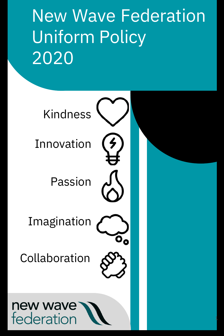New Wave Federation Uniform Policy 2020

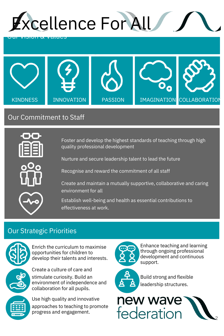



# Our Commitment to Staff



Foster and develop the highest standards of teaching through high quality professional development

Nurture and secure leadership talent to lead the future



Recognise and reward the commitment of all staff

Create and maintain a mutually supportive, collaborative and caring environment for all

Establish well-being and health as essential contributions to effectiveness at work.

# Our Strategic Priorities



Enrich the curriculum to maximise opportunities for children to develop their talents and interests.



Create a culture of care and stimulate curiosity. Build an environment of independence and

collaboration for all pupils.

Use high quality and innovative approaches to teaching to promote progress and engagement.



Enhance teaching and learning through ongoing professional development and continuous support.



Build strong and flexible leadership structures.

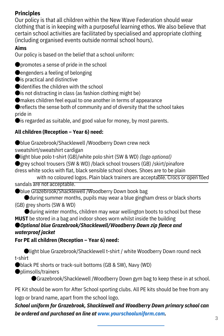# **Principles**

Our policy is that all children within the New Wave Federation should wear clothing that is in keeping with a purposeful learning ethos. We also believe that certain school activities are facilitated by specialised and appropriate clothing (including organised events outside normal school hours).

## **Aims**

Our policy is based on the belief that a school uniform:

●promotes a sense of pride in the school

 $\bullet$  engenders a feeling of belonging

● is practical and distinctive

●identifies the children with the school

 $\bullet$  is not distracting in class (as fashion clothing might be)

●makes children feel equal to one another in terms of appearance

● reflects the sense both of community and of diversity that the school takes pride in

● is regarded as suitable, and good value for money, by most parents.

# **All children (Reception – Year 6) need:**

●blue Grazebrook/Shacklewell /Woodberry Down crew neck sweatshirt/sweatshirt cardigan

●light blue polo t-shirt (GB)/white polo shirt (SW & WD) *(logo optional)*

●grey school trousers (SW & WD) /black school trousers (GB) /skirt/pinafore dress white socks with flat, black sensible school shoes. Shoes are to be plain

with no coloured logos. Plain black trainers are acceptable. Crocs or open toed sandals are not acceptable.

●blue Grazebrook/Shacklewell /Woodberry Down book bag

● during summer months, pupils may wear a blue gingham dress or black shorts (GB) grey shorts (SW & WD)

●during winter months, children may wear wellington boots to school but these **MUST** be stored in a bag and indoor shoes worn whilst inside the building ●*Optional blue Grazebrook/Shacklewell/Woodberry Down zip fleece and waterproof jacket*

# **For PE all children (Reception – Year 6) need:**

●light blue Grazebrook/Shacklewell t-shirt / white Woodberry Down round neck t-shirt

●black PE shorts or track-suit bottoms (GB & SW), Navy (WD)

●plimsolls/trainers

●Grazebrook/Shacklewell /Woodberry Down gym bag to keep these in at school.

PE Kit should be worn for After School sporting clubs. All PE kits should be free from any logo or brand name, apart from the school logo.

*School uniform for Grazebrook, Shacklewell and Woodberry Down primary school can be ordered and purchased on line at www.yourschooluniform.com.*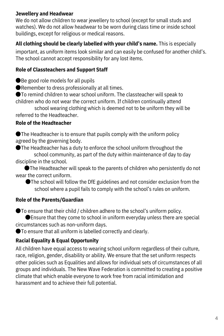## **Jewellery and Headwear**

We do not allow children to wear jewellery to school (except for small studs and watches). We do not allow headwear to be worn during class time or inside school buildings, except for religious or medical reasons.

### **All clothing should be clearly labelled with your child's name.** This is especially

important, as uniform items look similar and can easily be confused for another child's. The school cannot accept responsibility for any lost items.

### **Role of Classteachers and Support Staff**

●Be good role models for all pupils

●Remember to dress professionally at all times.

●To remind children to wear school uniform. The classteacher will speak to children who do not wear the correct uniform. If children continually attend

school wearing clothing which is deemed not to be uniform they will be referred to the Headteacher.

### **Role of the Headteacher**

●The Headteacher is to ensure that pupils comply with the uniform policy agreed by the governing body.

●The Headteacher has a duty to enforce the school uniform throughout the school community, as part of the duty within maintenance of day to day discipline in the school.

●The Headteacher will speak to the parents of children who persistently do not wear the correct uniform.

●The school will follow the DfE guidelines and not consider exclusion from the school where a pupil fails to comply with the school's rules on uniform.

### **Role of the Parents/Guardian**

●To ensure that their child / children adhere to the school's uniform policy.

● Ensure that they come to school in uniform everyday unless there are special circumstances such as non-uniform days.

●To ensure that all uniform is labelled correctly and clearly.

## **Racial Equality & Equal Opportunity**

All children have equal access to wearing school uniform regardless of their culture, race, religion, gender, disability or ability. We ensure that the set uniform respects other policies such as Equalities and allows for individual sets of circumstances of all groups and individuals. The New Wave Federation is committed to creating a positive climate that which enable everyone to work free from racial intimidation and harassment and to achieve their full potential.